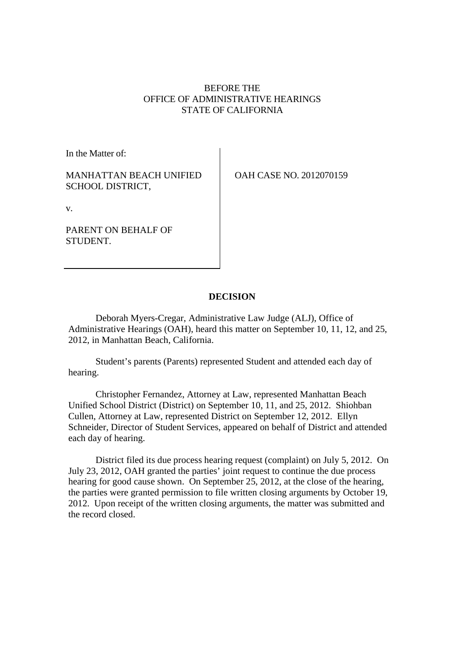# BEFORE THE OFFICE OF ADMINISTRATIVE HEARINGS STATE OF CALIFORNIA

In the Matter of:

MANHATTAN BEACH UNIFIED SCHOOL DISTRICT,

OAH CASE NO. 2012070159

v.

PARENT ON BEHALF OF STUDENT.

# **DECISION**

Deborah Myers-Cregar, Administrative Law Judge (ALJ), Office of Administrative Hearings (OAH), heard this matter on September 10, 11, 12, and 25, 2012, in Manhattan Beach, California.

Student's parents (Parents) represented Student and attended each day of hearing.

Christopher Fernandez, Attorney at Law, represented Manhattan Beach Unified School District (District) on September 10, 11, and 25, 2012. Shiohban Cullen, Attorney at Law, represented District on September 12, 2012. Ellyn Schneider, Director of Student Services, appeared on behalf of District and attended each day of hearing.

District filed its due process hearing request (complaint) on July 5, 2012. On July 23, 2012, OAH granted the parties' joint request to continue the due process hearing for good cause shown. On September 25, 2012, at the close of the hearing, the parties were granted permission to file written closing arguments by October 19, 2012. Upon receipt of the written closing arguments, the matter was submitted and the record closed.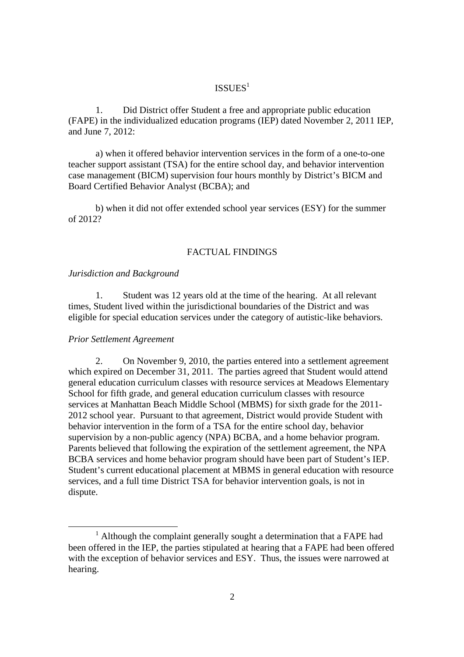# ISSUES<sup>1</sup>

1. Did District offer Student a free and appropriate public education (FAPE) in the individualized education programs (IEP) dated November 2, 2011 IEP, and June 7, 2012:

a) when it offered behavior intervention services in the form of a one-to-one teacher support assistant (TSA) for the entire school day, and behavior intervention case management (BICM) supervision four hours monthly by District's BICM and Board Certified Behavior Analyst (BCBA); and

b) when it did not offer extended school year services (ESY) for the summer of 2012?

### FACTUAL FINDINGS

#### *Jurisdiction and Background*

1. Student was 12 years old at the time of the hearing. At all relevant times, Student lived within the jurisdictional boundaries of the District and was eligible for special education services under the category of autistic-like behaviors.

#### *Prior Settlement Agreement*

2. On November 9, 2010, the parties entered into a settlement agreement which expired on December 31, 2011. The parties agreed that Student would attend general education curriculum classes with resource services at Meadows Elementary School for fifth grade, and general education curriculum classes with resource services at Manhattan Beach Middle School (MBMS) for sixth grade for the 2011- 2012 school year. Pursuant to that agreement, District would provide Student with behavior intervention in the form of a TSA for the entire school day, behavior supervision by a non-public agency (NPA) BCBA, and a home behavior program. Parents believed that following the expiration of the settlement agreement, the NPA BCBA services and home behavior program should have been part of Student's IEP. Student's current educational placement at MBMS in general education with resource services, and a full time District TSA for behavior intervention goals, is not in dispute.

 $1$  Although the complaint generally sought a determination that a FAPE had been offered in the IEP, the parties stipulated at hearing that a FAPE had been offered with the exception of behavior services and ESY. Thus, the issues were narrowed at hearing.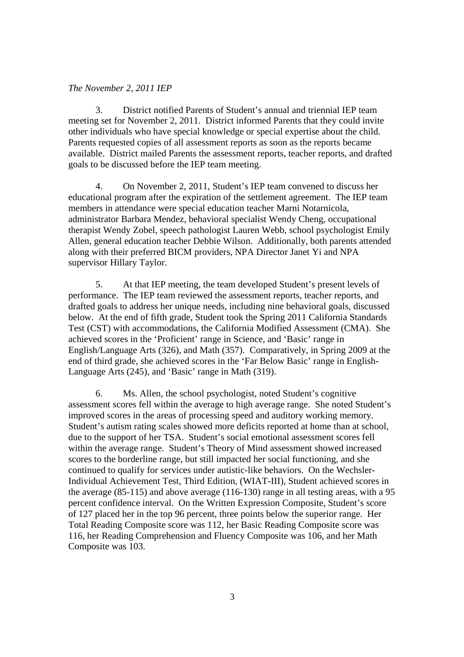# *The November 2, 2011 IEP*

3. District notified Parents of Student's annual and triennial IEP team meeting set for November 2, 2011. District informed Parents that they could invite other individuals who have special knowledge or special expertise about the child. Parents requested copies of all assessment reports as soon as the reports became available. District mailed Parents the assessment reports, teacher reports, and drafted goals to be discussed before the IEP team meeting.

4. On November 2, 2011, Student's IEP team convened to discuss her educational program after the expiration of the settlement agreement. The IEP team members in attendance were special education teacher Marni Notarnicola, administrator Barbara Mendez, behavioral specialist Wendy Cheng, occupational therapist Wendy Zobel, speech pathologist Lauren Webb, school psychologist Emily Allen, general education teacher Debbie Wilson. Additionally, both parents attended along with their preferred BICM providers, NPA Director Janet Yi and NPA supervisor Hillary Taylor.

5. At that IEP meeting, the team developed Student's present levels of performance. The IEP team reviewed the assessment reports, teacher reports, and drafted goals to address her unique needs, including nine behavioral goals, discussed below. At the end of fifth grade, Student took the Spring 2011 California Standards Test (CST) with accommodations, the California Modified Assessment (CMA). She achieved scores in the 'Proficient' range in Science, and 'Basic' range in English/Language Arts (326), and Math (357). Comparatively, in Spring 2009 at the end of third grade, she achieved scores in the 'Far Below Basic' range in English-Language Arts (245), and 'Basic' range in Math (319).

6. Ms. Allen, the school psychologist, noted Student's cognitive assessment scores fell within the average to high average range. She noted Student's improved scores in the areas of processing speed and auditory working memory. Student's autism rating scales showed more deficits reported at home than at school, due to the support of her TSA. Student's social emotional assessment scores fell within the average range. Student's Theory of Mind assessment showed increased scores to the borderline range, but still impacted her social functioning, and she continued to qualify for services under autistic-like behaviors. On the Wechsler-Individual Achievement Test, Third Edition, (WIAT-III), Student achieved scores in the average (85-115) and above average (116-130) range in all testing areas, with a 95 percent confidence interval. On the Written Expression Composite, Student's score of 127 placed her in the top 96 percent, three points below the superior range. Her Total Reading Composite score was 112, her Basic Reading Composite score was 116, her Reading Comprehension and Fluency Composite was 106, and her Math Composite was 103.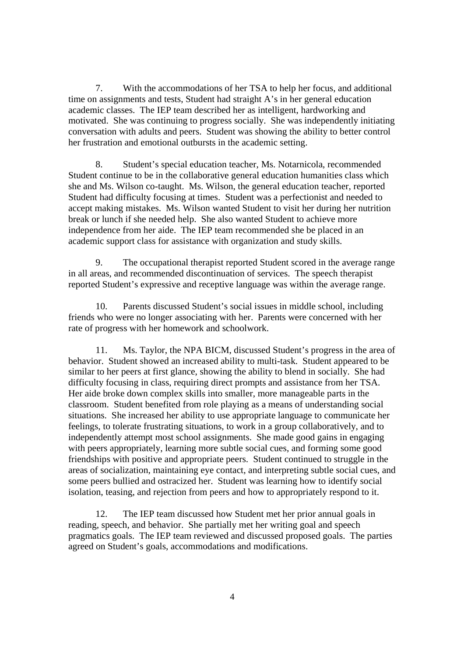7. With the accommodations of her TSA to help her focus, and additional time on assignments and tests, Student had straight A's in her general education academic classes. The IEP team described her as intelligent, hardworking and motivated. She was continuing to progress socially. She was independently initiating conversation with adults and peers. Student was showing the ability to better control her frustration and emotional outbursts in the academic setting.

8. Student's special education teacher, Ms. Notarnicola, recommended Student continue to be in the collaborative general education humanities class which she and Ms. Wilson co-taught. Ms. Wilson, the general education teacher, reported Student had difficulty focusing at times. Student was a perfectionist and needed to accept making mistakes. Ms. Wilson wanted Student to visit her during her nutrition break or lunch if she needed help. She also wanted Student to achieve more independence from her aide. The IEP team recommended she be placed in an academic support class for assistance with organization and study skills.

9. The occupational therapist reported Student scored in the average range in all areas, and recommended discontinuation of services. The speech therapist reported Student's expressive and receptive language was within the average range.

10. Parents discussed Student's social issues in middle school, including friends who were no longer associating with her. Parents were concerned with her rate of progress with her homework and schoolwork.

11. Ms. Taylor, the NPA BICM, discussed Student's progress in the area of behavior. Student showed an increased ability to multi-task. Student appeared to be similar to her peers at first glance, showing the ability to blend in socially. She had difficulty focusing in class, requiring direct prompts and assistance from her TSA. Her aide broke down complex skills into smaller, more manageable parts in the classroom. Student benefited from role playing as a means of understanding social situations. She increased her ability to use appropriate language to communicate her feelings, to tolerate frustrating situations, to work in a group collaboratively, and to independently attempt most school assignments. She made good gains in engaging with peers appropriately, learning more subtle social cues, and forming some good friendships with positive and appropriate peers. Student continued to struggle in the areas of socialization, maintaining eye contact, and interpreting subtle social cues, and some peers bullied and ostracized her. Student was learning how to identify social isolation, teasing, and rejection from peers and how to appropriately respond to it.

12. The IEP team discussed how Student met her prior annual goals in reading, speech, and behavior. She partially met her writing goal and speech pragmatics goals. The IEP team reviewed and discussed proposed goals. The parties agreed on Student's goals, accommodations and modifications.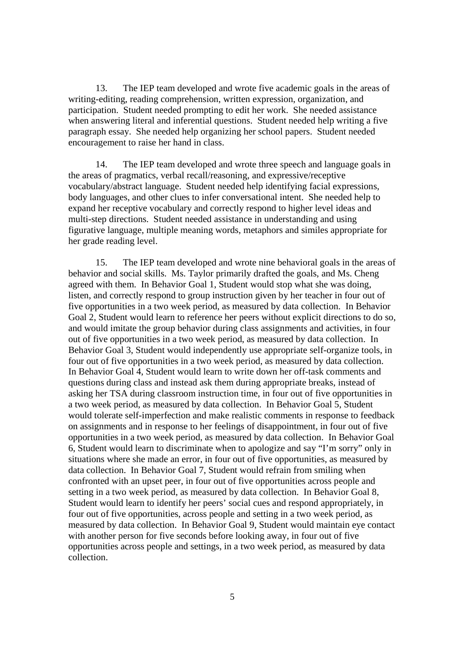13. The IEP team developed and wrote five academic goals in the areas of writing-editing, reading comprehension, written expression, organization, and participation. Student needed prompting to edit her work. She needed assistance when answering literal and inferential questions. Student needed help writing a five paragraph essay. She needed help organizing her school papers. Student needed encouragement to raise her hand in class.

14. The IEP team developed and wrote three speech and language goals in the areas of pragmatics, verbal recall/reasoning, and expressive/receptive vocabulary/abstract language. Student needed help identifying facial expressions, body languages, and other clues to infer conversational intent. She needed help to expand her receptive vocabulary and correctly respond to higher level ideas and multi-step directions. Student needed assistance in understanding and using figurative language, multiple meaning words, metaphors and similes appropriate for her grade reading level.

15. The IEP team developed and wrote nine behavioral goals in the areas of behavior and social skills. Ms. Taylor primarily drafted the goals, and Ms. Cheng agreed with them. In Behavior Goal 1, Student would stop what she was doing, listen, and correctly respond to group instruction given by her teacher in four out of five opportunities in a two week period, as measured by data collection. In Behavior Goal 2, Student would learn to reference her peers without explicit directions to do so, and would imitate the group behavior during class assignments and activities, in four out of five opportunities in a two week period, as measured by data collection. In Behavior Goal 3, Student would independently use appropriate self-organize tools, in four out of five opportunities in a two week period, as measured by data collection. In Behavior Goal 4, Student would learn to write down her off-task comments and questions during class and instead ask them during appropriate breaks, instead of asking her TSA during classroom instruction time, in four out of five opportunities in a two week period, as measured by data collection. In Behavior Goal 5, Student would tolerate self-imperfection and make realistic comments in response to feedback on assignments and in response to her feelings of disappointment, in four out of five opportunities in a two week period, as measured by data collection. In Behavior Goal 6, Student would learn to discriminate when to apologize and say "I'm sorry" only in situations where she made an error, in four out of five opportunities, as measured by data collection. In Behavior Goal 7, Student would refrain from smiling when confronted with an upset peer, in four out of five opportunities across people and setting in a two week period, as measured by data collection. In Behavior Goal 8, Student would learn to identify her peers' social cues and respond appropriately, in four out of five opportunities, across people and setting in a two week period, as measured by data collection. In Behavior Goal 9, Student would maintain eye contact with another person for five seconds before looking away, in four out of five opportunities across people and settings, in a two week period, as measured by data collection.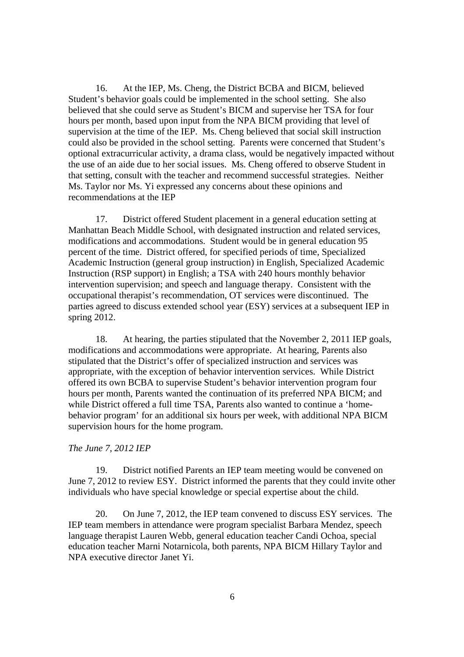16. At the IEP, Ms. Cheng, the District BCBA and BICM, believed Student's behavior goals could be implemented in the school setting. She also believed that she could serve as Student's BICM and supervise her TSA for four hours per month, based upon input from the NPA BICM providing that level of supervision at the time of the IEP. Ms. Cheng believed that social skill instruction could also be provided in the school setting. Parents were concerned that Student's optional extracurricular activity, a drama class, would be negatively impacted without the use of an aide due to her social issues. Ms. Cheng offered to observe Student in that setting, consult with the teacher and recommend successful strategies. Neither Ms. Taylor nor Ms. Yi expressed any concerns about these opinions and recommendations at the IEP

17. District offered Student placement in a general education setting at Manhattan Beach Middle School, with designated instruction and related services, modifications and accommodations. Student would be in general education 95 percent of the time. District offered, for specified periods of time, Specialized Academic Instruction (general group instruction) in English, Specialized Academic Instruction (RSP support) in English; a TSA with 240 hours monthly behavior intervention supervision; and speech and language therapy. Consistent with the occupational therapist's recommendation, OT services were discontinued. The parties agreed to discuss extended school year (ESY) services at a subsequent IEP in spring 2012.

18. At hearing, the parties stipulated that the November 2, 2011 IEP goals, modifications and accommodations were appropriate. At hearing, Parents also stipulated that the District's offer of specialized instruction and services was appropriate, with the exception of behavior intervention services. While District offered its own BCBA to supervise Student's behavior intervention program four hours per month, Parents wanted the continuation of its preferred NPA BICM; and while District offered a full time TSA, Parents also wanted to continue a 'homebehavior program' for an additional six hours per week, with additional NPA BICM supervision hours for the home program.

# *The June 7, 2012 IEP*

19. District notified Parents an IEP team meeting would be convened on June 7, 2012 to review ESY. District informed the parents that they could invite other individuals who have special knowledge or special expertise about the child.

20. On June 7, 2012, the IEP team convened to discuss ESY services. The IEP team members in attendance were program specialist Barbara Mendez, speech language therapist Lauren Webb, general education teacher Candi Ochoa, special education teacher Marni Notarnicola, both parents, NPA BICM Hillary Taylor and NPA executive director Janet Yi.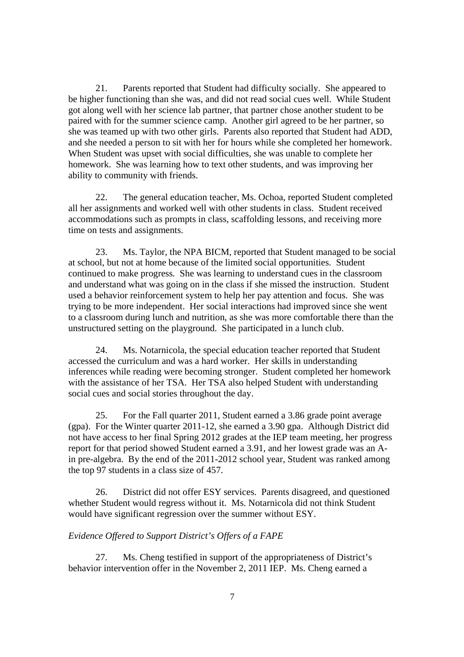21. Parents reported that Student had difficulty socially. She appeared to be higher functioning than she was, and did not read social cues well. While Student got along well with her science lab partner, that partner chose another student to be paired with for the summer science camp. Another girl agreed to be her partner, so she was teamed up with two other girls. Parents also reported that Student had ADD, and she needed a person to sit with her for hours while she completed her homework. When Student was upset with social difficulties, she was unable to complete her homework. She was learning how to text other students, and was improving her ability to community with friends.

22. The general education teacher, Ms. Ochoa, reported Student completed all her assignments and worked well with other students in class. Student received accommodations such as prompts in class, scaffolding lessons, and receiving more time on tests and assignments.

23. Ms. Taylor, the NPA BICM, reported that Student managed to be social at school, but not at home because of the limited social opportunities. Student continued to make progress. She was learning to understand cues in the classroom and understand what was going on in the class if she missed the instruction. Student used a behavior reinforcement system to help her pay attention and focus. She was trying to be more independent. Her social interactions had improved since she went to a classroom during lunch and nutrition, as she was more comfortable there than the unstructured setting on the playground. She participated in a lunch club.

24. Ms. Notarnicola, the special education teacher reported that Student accessed the curriculum and was a hard worker. Her skills in understanding inferences while reading were becoming stronger. Student completed her homework with the assistance of her TSA. Her TSA also helped Student with understanding social cues and social stories throughout the day.

25. For the Fall quarter 2011, Student earned a 3.86 grade point average (gpa). For the Winter quarter 2011-12, she earned a 3.90 gpa. Although District did not have access to her final Spring 2012 grades at the IEP team meeting, her progress report for that period showed Student earned a 3.91, and her lowest grade was an Ain pre-algebra. By the end of the 2011-2012 school year, Student was ranked among the top 97 students in a class size of 457.

26. District did not offer ESY services. Parents disagreed, and questioned whether Student would regress without it. Ms. Notarnicola did not think Student would have significant regression over the summer without ESY.

# *Evidence Offered to Support District's Offers of a FAPE*

27. Ms. Cheng testified in support of the appropriateness of District's behavior intervention offer in the November 2, 2011 IEP. Ms. Cheng earned a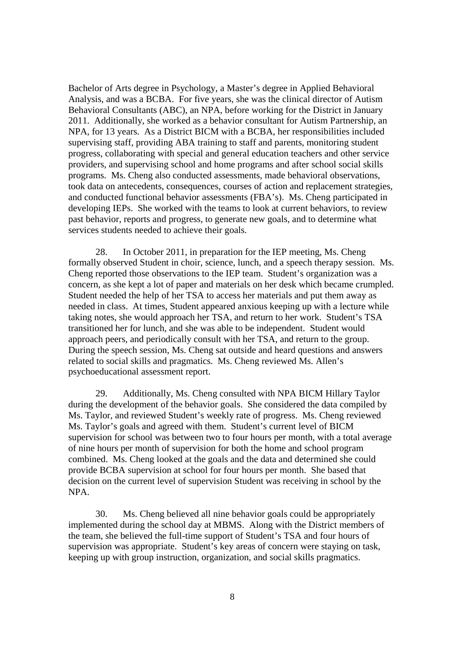Bachelor of Arts degree in Psychology, a Master's degree in Applied Behavioral Analysis, and was a BCBA. For five years, she was the clinical director of Autism Behavioral Consultants (ABC), an NPA, before working for the District in January 2011. Additionally, she worked as a behavior consultant for Autism Partnership, an NPA, for 13 years. As a District BICM with a BCBA, her responsibilities included supervising staff, providing ABA training to staff and parents, monitoring student progress, collaborating with special and general education teachers and other service providers, and supervising school and home programs and after school social skills programs. Ms. Cheng also conducted assessments, made behavioral observations, took data on antecedents, consequences, courses of action and replacement strategies, and conducted functional behavior assessments (FBA's). Ms. Cheng participated in developing IEPs. She worked with the teams to look at current behaviors, to review past behavior, reports and progress, to generate new goals, and to determine what services students needed to achieve their goals.

28. In October 2011, in preparation for the IEP meeting, Ms. Cheng formally observed Student in choir, science, lunch, and a speech therapy session. Ms. Cheng reported those observations to the IEP team. Student's organization was a concern, as she kept a lot of paper and materials on her desk which became crumpled. Student needed the help of her TSA to access her materials and put them away as needed in class. At times, Student appeared anxious keeping up with a lecture while taking notes, she would approach her TSA, and return to her work. Student's TSA transitioned her for lunch, and she was able to be independent. Student would approach peers, and periodically consult with her TSA, and return to the group. During the speech session, Ms. Cheng sat outside and heard questions and answers related to social skills and pragmatics. Ms. Cheng reviewed Ms. Allen's psychoeducational assessment report.

29. Additionally, Ms. Cheng consulted with NPA BICM Hillary Taylor during the development of the behavior goals. She considered the data compiled by Ms. Taylor, and reviewed Student's weekly rate of progress. Ms. Cheng reviewed Ms. Taylor's goals and agreed with them. Student's current level of BICM supervision for school was between two to four hours per month, with a total average of nine hours per month of supervision for both the home and school program combined. Ms. Cheng looked at the goals and the data and determined she could provide BCBA supervision at school for four hours per month. She based that decision on the current level of supervision Student was receiving in school by the NPA.

30. Ms. Cheng believed all nine behavior goals could be appropriately implemented during the school day at MBMS. Along with the District members of the team, she believed the full-time support of Student's TSA and four hours of supervision was appropriate. Student's key areas of concern were staying on task, keeping up with group instruction, organization, and social skills pragmatics.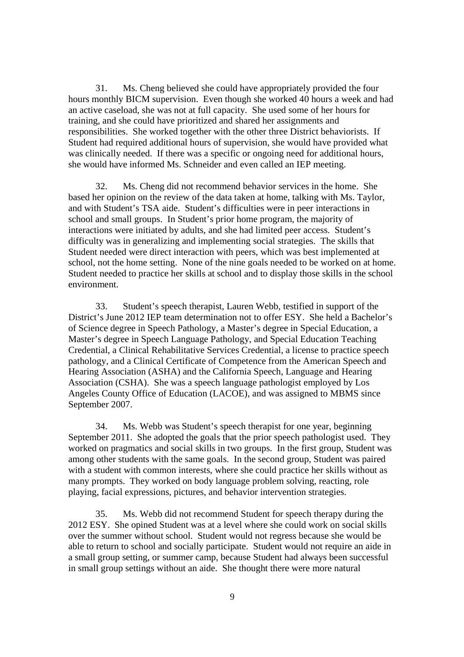31. Ms. Cheng believed she could have appropriately provided the four hours monthly BICM supervision. Even though she worked 40 hours a week and had an active caseload, she was not at full capacity. She used some of her hours for training, and she could have prioritized and shared her assignments and responsibilities. She worked together with the other three District behaviorists. If Student had required additional hours of supervision, she would have provided what was clinically needed. If there was a specific or ongoing need for additional hours, she would have informed Ms. Schneider and even called an IEP meeting.

32. Ms. Cheng did not recommend behavior services in the home. She based her opinion on the review of the data taken at home, talking with Ms. Taylor, and with Student's TSA aide. Student's difficulties were in peer interactions in school and small groups. In Student's prior home program, the majority of interactions were initiated by adults, and she had limited peer access. Student's difficulty was in generalizing and implementing social strategies. The skills that Student needed were direct interaction with peers, which was best implemented at school, not the home setting. None of the nine goals needed to be worked on at home. Student needed to practice her skills at school and to display those skills in the school environment.

33. Student's speech therapist, Lauren Webb, testified in support of the District's June 2012 IEP team determination not to offer ESY. She held a Bachelor's of Science degree in Speech Pathology, a Master's degree in Special Education, a Master's degree in Speech Language Pathology, and Special Education Teaching Credential, a Clinical Rehabilitative Services Credential, a license to practice speech pathology, and a Clinical Certificate of Competence from the American Speech and Hearing Association (ASHA) and the California Speech, Language and Hearing Association (CSHA). She was a speech language pathologist employed by Los Angeles County Office of Education (LACOE), and was assigned to MBMS since September 2007.

34. Ms. Webb was Student's speech therapist for one year, beginning September 2011. She adopted the goals that the prior speech pathologist used. They worked on pragmatics and social skills in two groups. In the first group, Student was among other students with the same goals. In the second group, Student was paired with a student with common interests, where she could practice her skills without as many prompts. They worked on body language problem solving, reacting, role playing, facial expressions, pictures, and behavior intervention strategies.

35. Ms. Webb did not recommend Student for speech therapy during the 2012 ESY. She opined Student was at a level where she could work on social skills over the summer without school. Student would not regress because she would be able to return to school and socially participate. Student would not require an aide in a small group setting, or summer camp, because Student had always been successful in small group settings without an aide. She thought there were more natural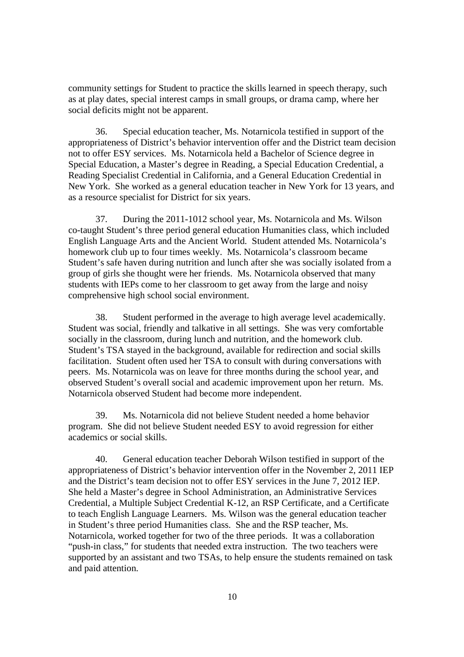community settings for Student to practice the skills learned in speech therapy, such as at play dates, special interest camps in small groups, or drama camp, where her social deficits might not be apparent.

36. Special education teacher, Ms. Notarnicola testified in support of the appropriateness of District's behavior intervention offer and the District team decision not to offer ESY services. Ms. Notarnicola held a Bachelor of Science degree in Special Education, a Master's degree in Reading, a Special Education Credential, a Reading Specialist Credential in California, and a General Education Credential in New York. She worked as a general education teacher in New York for 13 years, and as a resource specialist for District for six years.

37. During the 2011-1012 school year, Ms. Notarnicola and Ms. Wilson co-taught Student's three period general education Humanities class, which included English Language Arts and the Ancient World. Student attended Ms. Notarnicola's homework club up to four times weekly. Ms. Notarnicola's classroom became Student's safe haven during nutrition and lunch after she was socially isolated from a group of girls she thought were her friends. Ms. Notarnicola observed that many students with IEPs come to her classroom to get away from the large and noisy comprehensive high school social environment.

38. Student performed in the average to high average level academically. Student was social, friendly and talkative in all settings. She was very comfortable socially in the classroom, during lunch and nutrition, and the homework club. Student's TSA stayed in the background, available for redirection and social skills facilitation. Student often used her TSA to consult with during conversations with peers. Ms. Notarnicola was on leave for three months during the school year, and observed Student's overall social and academic improvement upon her return. Ms. Notarnicola observed Student had become more independent.

39. Ms. Notarnicola did not believe Student needed a home behavior program. She did not believe Student needed ESY to avoid regression for either academics or social skills.

40. General education teacher Deborah Wilson testified in support of the appropriateness of District's behavior intervention offer in the November 2, 2011 IEP and the District's team decision not to offer ESY services in the June 7, 2012 IEP. She held a Master's degree in School Administration, an Administrative Services Credential, a Multiple Subject Credential K-12, an RSP Certificate, and a Certificate to teach English Language Learners. Ms. Wilson was the general education teacher in Student's three period Humanities class. She and the RSP teacher, Ms. Notarnicola, worked together for two of the three periods. It was a collaboration "push-in class," for students that needed extra instruction. The two teachers were supported by an assistant and two TSAs, to help ensure the students remained on task and paid attention.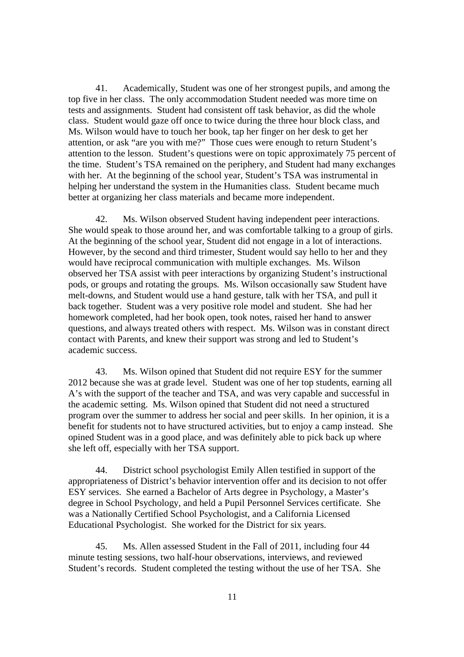41. Academically, Student was one of her strongest pupils, and among the top five in her class. The only accommodation Student needed was more time on tests and assignments. Student had consistent off task behavior, as did the whole class. Student would gaze off once to twice during the three hour block class, and Ms. Wilson would have to touch her book, tap her finger on her desk to get her attention, or ask "are you with me?" Those cues were enough to return Student's attention to the lesson. Student's questions were on topic approximately 75 percent of the time. Student's TSA remained on the periphery, and Student had many exchanges with her. At the beginning of the school year, Student's TSA was instrumental in helping her understand the system in the Humanities class. Student became much better at organizing her class materials and became more independent.

42. Ms. Wilson observed Student having independent peer interactions. She would speak to those around her, and was comfortable talking to a group of girls. At the beginning of the school year, Student did not engage in a lot of interactions. However, by the second and third trimester, Student would say hello to her and they would have reciprocal communication with multiple exchanges. Ms. Wilson observed her TSA assist with peer interactions by organizing Student's instructional pods, or groups and rotating the groups. Ms. Wilson occasionally saw Student have melt-downs, and Student would use a hand gesture, talk with her TSA, and pull it back together. Student was a very positive role model and student. She had her homework completed, had her book open, took notes, raised her hand to answer questions, and always treated others with respect. Ms. Wilson was in constant direct contact with Parents, and knew their support was strong and led to Student's academic success.

43. Ms. Wilson opined that Student did not require ESY for the summer 2012 because she was at grade level. Student was one of her top students, earning all A's with the support of the teacher and TSA, and was very capable and successful in the academic setting. Ms. Wilson opined that Student did not need a structured program over the summer to address her social and peer skills. In her opinion, it is a benefit for students not to have structured activities, but to enjoy a camp instead. She opined Student was in a good place, and was definitely able to pick back up where she left off, especially with her TSA support.

44. District school psychologist Emily Allen testified in support of the appropriateness of District's behavior intervention offer and its decision to not offer ESY services. She earned a Bachelor of Arts degree in Psychology, a Master's degree in School Psychology, and held a Pupil Personnel Services certificate. She was a Nationally Certified School Psychologist, and a California Licensed Educational Psychologist. She worked for the District for six years.

45. Ms. Allen assessed Student in the Fall of 2011, including four 44 minute testing sessions, two half-hour observations, interviews, and reviewed Student's records. Student completed the testing without the use of her TSA. She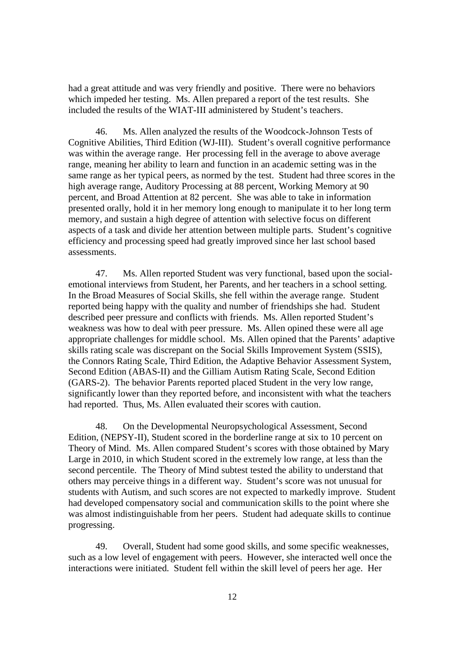had a great attitude and was very friendly and positive. There were no behaviors which impeded her testing. Ms. Allen prepared a report of the test results. She included the results of the WIAT-III administered by Student's teachers.

46. Ms. Allen analyzed the results of the Woodcock-Johnson Tests of Cognitive Abilities, Third Edition (WJ-III). Student's overall cognitive performance was within the average range. Her processing fell in the average to above average range, meaning her ability to learn and function in an academic setting was in the same range as her typical peers, as normed by the test. Student had three scores in the high average range, Auditory Processing at 88 percent, Working Memory at 90 percent, and Broad Attention at 82 percent. She was able to take in information presented orally, hold it in her memory long enough to manipulate it to her long term memory, and sustain a high degree of attention with selective focus on different aspects of a task and divide her attention between multiple parts. Student's cognitive efficiency and processing speed had greatly improved since her last school based assessments.

47. Ms. Allen reported Student was very functional, based upon the socialemotional interviews from Student, her Parents, and her teachers in a school setting. In the Broad Measures of Social Skills, she fell within the average range. Student reported being happy with the quality and number of friendships she had. Student described peer pressure and conflicts with friends. Ms. Allen reported Student's weakness was how to deal with peer pressure. Ms. Allen opined these were all age appropriate challenges for middle school. Ms. Allen opined that the Parents' adaptive skills rating scale was discrepant on the Social Skills Improvement System (SSIS), the Connors Rating Scale, Third Edition, the Adaptive Behavior Assessment System, Second Edition (ABAS-II) and the Gilliam Autism Rating Scale, Second Edition (GARS-2). The behavior Parents reported placed Student in the very low range, significantly lower than they reported before, and inconsistent with what the teachers had reported. Thus, Ms. Allen evaluated their scores with caution.

48. On the Developmental Neuropsychological Assessment, Second Edition, (NEPSY-II), Student scored in the borderline range at six to 10 percent on Theory of Mind. Ms. Allen compared Student's scores with those obtained by Mary Large in 2010, in which Student scored in the extremely low range, at less than the second percentile. The Theory of Mind subtest tested the ability to understand that others may perceive things in a different way. Student's score was not unusual for students with Autism, and such scores are not expected to markedly improve. Student had developed compensatory social and communication skills to the point where she was almost indistinguishable from her peers. Student had adequate skills to continue progressing.

49. Overall, Student had some good skills, and some specific weaknesses, such as a low level of engagement with peers. However, she interacted well once the interactions were initiated. Student fell within the skill level of peers her age. Her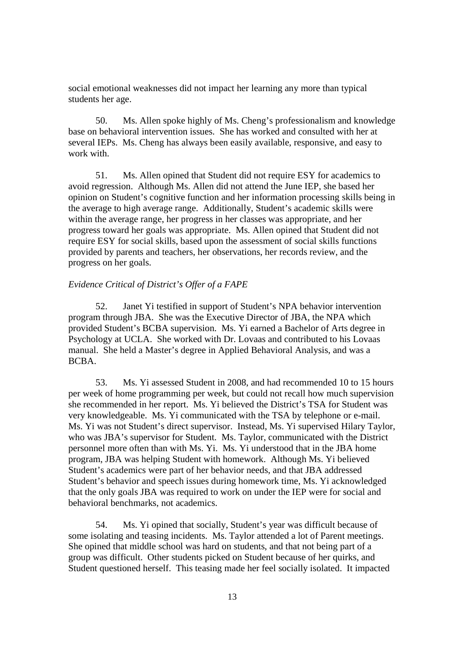social emotional weaknesses did not impact her learning any more than typical students her age.

50. Ms. Allen spoke highly of Ms. Cheng's professionalism and knowledge base on behavioral intervention issues. She has worked and consulted with her at several IEPs. Ms. Cheng has always been easily available, responsive, and easy to work with.

51. Ms. Allen opined that Student did not require ESY for academics to avoid regression. Although Ms. Allen did not attend the June IEP, she based her opinion on Student's cognitive function and her information processing skills being in the average to high average range. Additionally, Student's academic skills were within the average range, her progress in her classes was appropriate, and her progress toward her goals was appropriate. Ms. Allen opined that Student did not require ESY for social skills, based upon the assessment of social skills functions provided by parents and teachers, her observations, her records review, and the progress on her goals.

#### *Evidence Critical of District's Offer of a FAPE*

52. Janet Yi testified in support of Student's NPA behavior intervention program through JBA. She was the Executive Director of JBA, the NPA which provided Student's BCBA supervision. Ms. Yi earned a Bachelor of Arts degree in Psychology at UCLA. She worked with Dr. Lovaas and contributed to his Lovaas manual. She held a Master's degree in Applied Behavioral Analysis, and was a BCBA.

53. Ms. Yi assessed Student in 2008, and had recommended 10 to 15 hours per week of home programming per week, but could not recall how much supervision she recommended in her report. Ms. Yi believed the District's TSA for Student was very knowledgeable. Ms. Yi communicated with the TSA by telephone or e-mail. Ms. Yi was not Student's direct supervisor. Instead, Ms. Yi supervised Hilary Taylor, who was JBA's supervisor for Student. Ms. Taylor, communicated with the District personnel more often than with Ms. Yi. Ms. Yi understood that in the JBA home program, JBA was helping Student with homework. Although Ms. Yi believed Student's academics were part of her behavior needs, and that JBA addressed Student's behavior and speech issues during homework time, Ms. Yi acknowledged that the only goals JBA was required to work on under the IEP were for social and behavioral benchmarks, not academics.

54. Ms. Yi opined that socially, Student's year was difficult because of some isolating and teasing incidents. Ms. Taylor attended a lot of Parent meetings. She opined that middle school was hard on students, and that not being part of a group was difficult. Other students picked on Student because of her quirks, and Student questioned herself. This teasing made her feel socially isolated. It impacted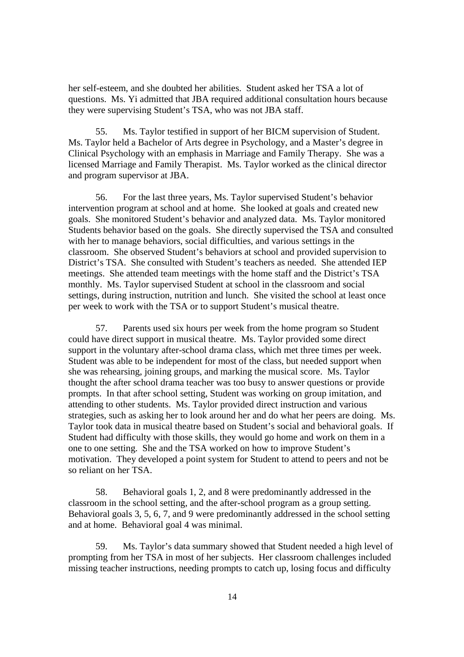her self-esteem, and she doubted her abilities. Student asked her TSA a lot of questions. Ms. Yi admitted that JBA required additional consultation hours because they were supervising Student's TSA, who was not JBA staff.

55. Ms. Taylor testified in support of her BICM supervision of Student. Ms. Taylor held a Bachelor of Arts degree in Psychology, and a Master's degree in Clinical Psychology with an emphasis in Marriage and Family Therapy. She was a licensed Marriage and Family Therapist. Ms. Taylor worked as the clinical director and program supervisor at JBA.

56. For the last three years, Ms. Taylor supervised Student's behavior intervention program at school and at home. She looked at goals and created new goals. She monitored Student's behavior and analyzed data. Ms. Taylor monitored Students behavior based on the goals. She directly supervised the TSA and consulted with her to manage behaviors, social difficulties, and various settings in the classroom. She observed Student's behaviors at school and provided supervision to District's TSA. She consulted with Student's teachers as needed. She attended IEP meetings. She attended team meetings with the home staff and the District's TSA monthly. Ms. Taylor supervised Student at school in the classroom and social settings, during instruction, nutrition and lunch. She visited the school at least once per week to work with the TSA or to support Student's musical theatre.

57. Parents used six hours per week from the home program so Student could have direct support in musical theatre. Ms. Taylor provided some direct support in the voluntary after-school drama class, which met three times per week. Student was able to be independent for most of the class, but needed support when she was rehearsing, joining groups, and marking the musical score. Ms. Taylor thought the after school drama teacher was too busy to answer questions or provide prompts. In that after school setting, Student was working on group imitation, and attending to other students. Ms. Taylor provided direct instruction and various strategies, such as asking her to look around her and do what her peers are doing. Ms. Taylor took data in musical theatre based on Student's social and behavioral goals. If Student had difficulty with those skills, they would go home and work on them in a one to one setting. She and the TSA worked on how to improve Student's motivation. They developed a point system for Student to attend to peers and not be so reliant on her TSA.

58. Behavioral goals 1, 2, and 8 were predominantly addressed in the classroom in the school setting, and the after-school program as a group setting. Behavioral goals 3, 5, 6, 7, and 9 were predominantly addressed in the school setting and at home. Behavioral goal 4 was minimal.

59. Ms. Taylor's data summary showed that Student needed a high level of prompting from her TSA in most of her subjects. Her classroom challenges included missing teacher instructions, needing prompts to catch up, losing focus and difficulty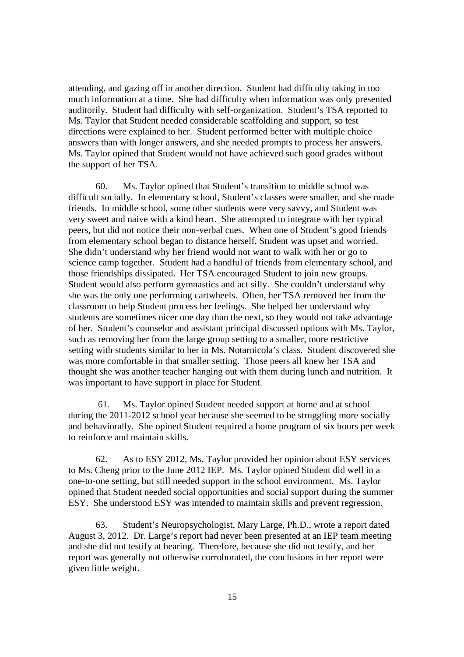attending, and gazing off in another direction. Student had difficulty taking in too much information at a time. She had difficulty when information was only presented auditorily. Student had difficulty with self-organization. Student's TSA reported to Ms. Taylor that Student needed considerable scaffolding and support, so test directions were explained to her. Student performed better with multiple choice answers than with longer answers, and she needed prompts to process her answers. Ms. Taylor opined that Student would not have achieved such good grades without the support of her TSA.

60. Ms. Taylor opined that Student's transition to middle school was difficult socially. In elementary school, Student's classes were smaller, and she made friends. In middle school, some other students were very savvy, and Student was very sweet and naive with a kind heart. She attempted to integrate with her typical peers, but did not notice their non-verbal cues. When one of Student's good friends from elementary school began to distance herself, Student was upset and worried. She didn't understand why her friend would not want to walk with her or go to science camp together. Student had a handful of friends from elementary school, and those friendships dissipated. Her TSA encouraged Student to join new groups. Student would also perform gymnastics and act silly. She couldn't understand why she was the only one performing cartwheels. Often, her TSA removed her from the classroom to help Student process her feelings. She helped her understand why students are sometimes nicer one day than the next, so they would not take advantage of her. Student's counselor and assistant principal discussed options with Ms. Taylor, such as removing her from the large group setting to a smaller, more restrictive setting with students similar to her in Ms. Notarnicola's class. Student discovered she was more comfortable in that smaller setting. Those peers all knew her TSA and thought she was another teacher hanging out with them during lunch and nutrition. It was important to have support in place for Student.

61. Ms. Taylor opined Student needed support at home and at school during the 2011-2012 school year because she seemed to be struggling more socially and behaviorally. She opined Student required a home program of six hours per week to reinforce and maintain skills.

62. As to ESY 2012, Ms. Taylor provided her opinion about ESY services to Ms. Cheng prior to the June 2012 IEP. Ms. Taylor opined Student did well in a one-to-one setting, but still needed support in the school environment. Ms. Taylor opined that Student needed social opportunities and social support during the summer ESY. She understood ESY was intended to maintain skills and prevent regression.

63. Student's Neuropsychologist, Mary Large, Ph.D., wrote a report dated August 3, 2012. Dr. Large's report had never been presented at an IEP team meeting and she did not testify at hearing. Therefore, because she did not testify, and her report was generally not otherwise corroborated, the conclusions in her report were given little weight.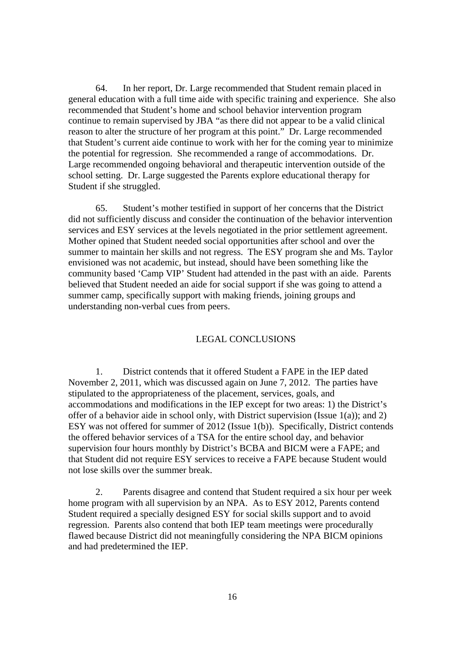64. In her report, Dr. Large recommended that Student remain placed in general education with a full time aide with specific training and experience. She also recommended that Student's home and school behavior intervention program continue to remain supervised by JBA "as there did not appear to be a valid clinical reason to alter the structure of her program at this point." Dr. Large recommended that Student's current aide continue to work with her for the coming year to minimize the potential for regression. She recommended a range of accommodations. Dr. Large recommended ongoing behavioral and therapeutic intervention outside of the school setting. Dr. Large suggested the Parents explore educational therapy for Student if she struggled.

65. Student's mother testified in support of her concerns that the District did not sufficiently discuss and consider the continuation of the behavior intervention services and ESY services at the levels negotiated in the prior settlement agreement. Mother opined that Student needed social opportunities after school and over the summer to maintain her skills and not regress. The ESY program she and Ms. Taylor envisioned was not academic, but instead, should have been something like the community based 'Camp VIP' Student had attended in the past with an aide. Parents believed that Student needed an aide for social support if she was going to attend a summer camp, specifically support with making friends, joining groups and understanding non-verbal cues from peers.

# LEGAL CONCLUSIONS

1. District contends that it offered Student a FAPE in the IEP dated November 2, 2011, which was discussed again on June 7, 2012. The parties have stipulated to the appropriateness of the placement, services, goals, and accommodations and modifications in the IEP except for two areas: 1) the District's offer of a behavior aide in school only, with District supervision (Issue 1(a)); and 2) ESY was not offered for summer of 2012 (Issue 1(b)). Specifically, District contends the offered behavior services of a TSA for the entire school day, and behavior supervision four hours monthly by District's BCBA and BICM were a FAPE; and that Student did not require ESY services to receive a FAPE because Student would not lose skills over the summer break.

2. Parents disagree and contend that Student required a six hour per week home program with all supervision by an NPA. As to ESY 2012, Parents contend Student required a specially designed ESY for social skills support and to avoid regression. Parents also contend that both IEP team meetings were procedurally flawed because District did not meaningfully considering the NPA BICM opinions and had predetermined the IEP.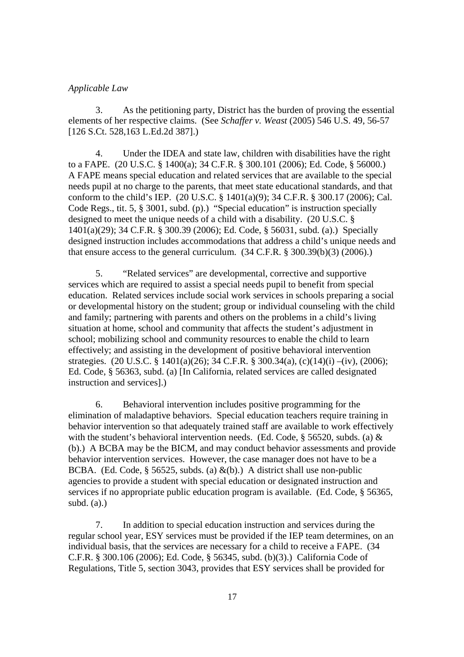# *Applicable Law*

3. As the petitioning party, District has the burden of proving the essential elements of her respective claims. (See *Schaffer v. Weast* (2005) 546 U.S. 49, 56-57 [126 S.Ct. 528,163 L.Ed.2d 387].)

4. Under the IDEA and state law, children with disabilities have the right to a FAPE. (20 U.S.C. § 1400(a); 34 C.F.R. § 300.101 (2006); Ed. Code, § 56000.) A FAPE means special education and related services that are available to the special needs pupil at no charge to the parents, that meet state educational standards, and that conform to the child's IEP. (20 U.S.C. § 1401(a)(9); 34 C.F.R. § 300.17 (2006); Cal. Code Regs., tit. 5, § 3001, subd. (p).) "Special education" is instruction specially designed to meet the unique needs of a child with a disability. (20 U.S.C. § 1401(a)(29); 34 C.F.R. § 300.39 (2006); Ed. Code, § 56031, subd. (a).) Specially designed instruction includes accommodations that address a child's unique needs and that ensure access to the general curriculum.  $(34 \text{ C.F.R.} \$   $(300.39(b)(3) (2006))$ .

5. "Related services" are developmental, corrective and supportive services which are required to assist a special needs pupil to benefit from special education. Related services include social work services in schools preparing a social or developmental history on the student; group or individual counseling with the child and family; partnering with parents and others on the problems in a child's living situation at home, school and community that affects the student's adjustment in school; mobilizing school and community resources to enable the child to learn effectively; and assisting in the development of positive behavioral intervention strategies. (20 U.S.C. § 1401(a)(26); 34 C.F.R. § 300.34(a), (c)(14)(i) –(iv), (2006); Ed. Code, § 56363, subd. (a) [In California, related services are called designated instruction and services].)

6. Behavioral intervention includes positive programming for the elimination of maladaptive behaviors. Special education teachers require training in behavior intervention so that adequately trained staff are available to work effectively with the student's behavioral intervention needs. (Ed. Code, § 56520, subds. (a)  $\&$ (b).) A BCBA may be the BICM, and may conduct behavior assessments and provide behavior intervention services. However, the case manager does not have to be a BCBA. (Ed. Code, § 56525, subds. (a)  $\&$ (b).) A district shall use non-public agencies to provide a student with special education or designated instruction and services if no appropriate public education program is available. (Ed. Code, § 56365, subd.  $(a)$ .)

7. In addition to special education instruction and services during the regular school year, ESY services must be provided if the IEP team determines, on an individual basis, that the services are necessary for a child to receive a FAPE. (34 C.F.R. § 300.106 (2006); Ed. Code, § 56345, subd. (b)(3).) California Code of Regulations, Title 5, section 3043, provides that ESY services shall be provided for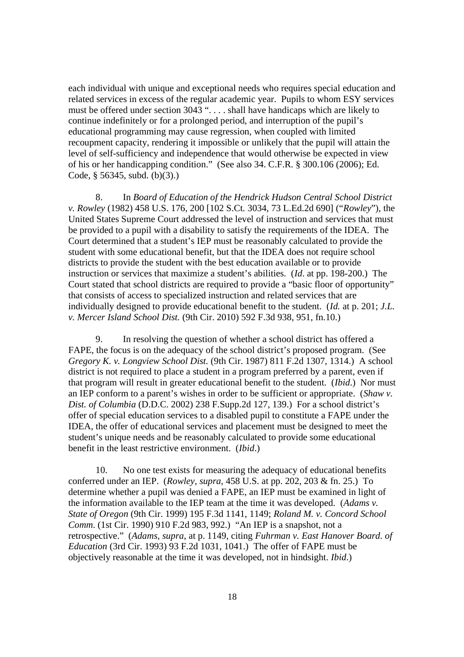each individual with unique and exceptional needs who requires special education and related services in excess of the regular academic year. Pupils to whom ESY services must be offered under section 3043 ". . . . shall have handicaps which are likely to continue indefinitely or for a prolonged period, and interruption of the pupil's educational programming may cause regression, when coupled with limited recoupment capacity, rendering it impossible or unlikely that the pupil will attain the level of self-sufficiency and independence that would otherwise be expected in view of his or her handicapping condition." (See also 34. C.F.R. § 300.106 (2006); Ed. Code, § 56345, subd. (b)(3).)

8. In *Board of Education of the Hendrick Hudson Central School District v. Rowley* (1982) 458 U.S. 176, 200 [102 S.Ct. 3034, 73 L.Ed.2d 690] ("*Rowley*"), the United States Supreme Court addressed the level of instruction and services that must be provided to a pupil with a disability to satisfy the requirements of the IDEA. The Court determined that a student's IEP must be reasonably calculated to provide the student with some educational benefit, but that the IDEA does not require school districts to provide the student with the best education available or to provide instruction or services that maximize a student's abilities. (*Id*. at pp. 198-200.) The Court stated that school districts are required to provide a "basic floor of opportunity" that consists of access to specialized instruction and related services that are individually designed to provide educational benefit to the student. (*Id.* at p. 201; *J.L. v. Mercer Island School Dist.* (9th Cir. 2010) 592 F.3d 938, 951, fn.10.)

9. In resolving the question of whether a school district has offered a FAPE, the focus is on the adequacy of the school district's proposed program. (See *Gregory K. v. Longview School Dist.* (9th Cir. 1987) 811 F.2d 1307, 1314.) A school district is not required to place a student in a program preferred by a parent, even if that program will result in greater educational benefit to the student. (*Ibid*.) Nor must an IEP conform to a parent's wishes in order to be sufficient or appropriate. (*Shaw v. Dist. of Columbia* (D.D.C. 2002) 238 F.Supp.2d 127, 139.) For a school district's offer of special education services to a disabled pupil to constitute a FAPE under the IDEA, the offer of educational services and placement must be designed to meet the student's unique needs and be reasonably calculated to provide some educational benefit in the least restrictive environment. (*Ibid*.)

10. No one test exists for measuring the adequacy of educational benefits conferred under an IEP. (*Rowley*, *supra,* 458 U.S. at pp. 202, 203 & fn. 25.) To determine whether a pupil was denied a FAPE, an IEP must be examined in light of the information available to the IEP team at the time it was developed. (*Adams v. State of Oregon* (9th Cir. 1999) 195 F.3d 1141, 1149; *Roland M. v. Concord School Comm*. (1st Cir. 1990) 910 F.2d 983, 992.) "An IEP is a snapshot, not a retrospective." (*Adams, supra*, at p. 1149, citing *Fuhrman v. East Hanover Board. of Education* (3rd Cir. 1993) 93 F.2d 1031, 1041.) The offer of FAPE must be objectively reasonable at the time it was developed, not in hindsight. *Ibid*.)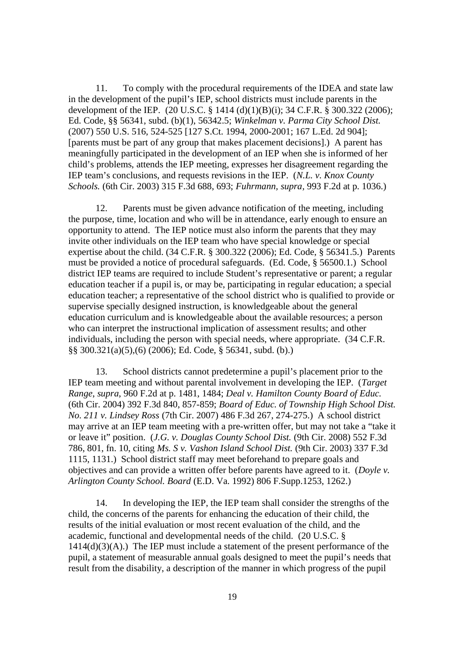11. To comply with the procedural requirements of the IDEA and state law in the development of the pupil's IEP, school districts must include parents in the development of the IEP. (20 U.S.C. § 1414 (d)(1)(B)(i); 34 C.F.R. § 300.322 (2006); Ed. Code, §§ 56341, subd. (b)(1), 56342.5; *Winkelman v. Parma City School Dist.* (2007) 550 U.S. 516, 524-525 [127 S.Ct. 1994, 2000-2001; 167 L.Ed. 2d 904]; [parents must be part of any group that makes placement decisions].) A parent has meaningfully participated in the development of an IEP when she is informed of her child's problems, attends the IEP meeting, expresses her disagreement regarding the IEP team's conclusions, and requests revisions in the IEP. (*N.L. v. Knox County Schools.* (6th Cir. 2003) 315 F.3d 688, 693; *Fuhrmann, supra,* 993 F.2d at p. 1036.)

12. Parents must be given advance notification of the meeting, including the purpose, time, location and who will be in attendance, early enough to ensure an opportunity to attend. The IEP notice must also inform the parents that they may invite other individuals on the IEP team who have special knowledge or special expertise about the child. (34 C.F.R. § 300.322 (2006); Ed. Code, § 56341.5.) Parents must be provided a notice of procedural safeguards. (Ed. Code, § 56500.1.) School district IEP teams are required to include Student's representative or parent; a regular education teacher if a pupil is, or may be, participating in regular education; a special education teacher; a representative of the school district who is qualified to provide or supervise specially designed instruction, is knowledgeable about the general education curriculum and is knowledgeable about the available resources; a person who can interpret the instructional implication of assessment results; and other individuals, including the person with special needs, where appropriate. (34 C.F.R. §§ 300.321(a)(5),(6) (2006); Ed. Code, § 56341, subd. (b).)

13. School districts cannot predetermine a pupil's placement prior to the IEP team meeting and without parental involvement in developing the IEP. (*Target Range*, *supra*, 960 F.2d at p. 1481, 1484; *Deal v. Hamilton County Board of Educ.* (6th Cir. 2004) 392 F.3d 840, 857-859; *Board of Educ. of Township High School Dist. No. 211 v. Lindsey Ross* (7th Cir. 2007) 486 F.3d 267, 274-275.) A school district may arrive at an IEP team meeting with a pre-written offer, but may not take a "take it or leave it" position. (*J.G. v. Douglas County School Dist.* (9th Cir. 2008) 552 F.3d 786, 801, fn. 10, citing *Ms. S v. Vashon Island School Dist.* (9th Cir. 2003) 337 F.3d 1115, 1131.) School district staff may meet beforehand to prepare goals and objectives and can provide a written offer before parents have agreed to it. (*Doyle v. Arlington County School. Board* (E.D. Va. 1992) 806 F.Supp.1253, 1262.)

14. In developing the IEP, the IEP team shall consider the strengths of the child, the concerns of the parents for enhancing the education of their child, the results of the initial evaluation or most recent evaluation of the child, and the academic, functional and developmental needs of the child. (20 U.S.C. §  $1414(d)(3)(A)$ .) The IEP must include a statement of the present performance of the pupil, a statement of measurable annual goals designed to meet the pupil's needs that result from the disability, a description of the manner in which progress of the pupil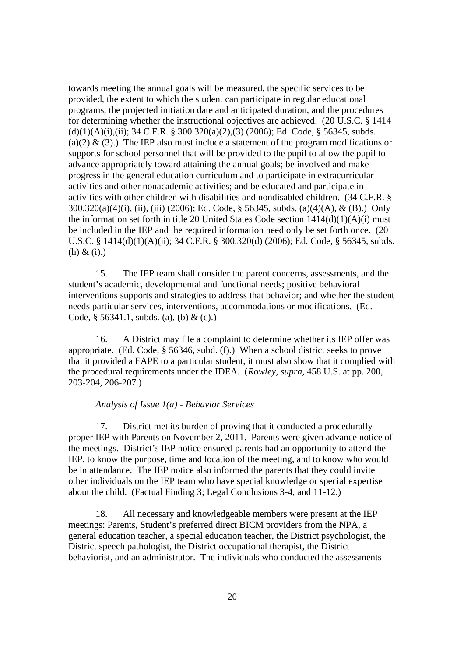towards meeting the annual goals will be measured, the specific services to be provided, the extent to which the student can participate in regular educational programs, the projected initiation date and anticipated duration, and the procedures for determining whether the instructional objectives are achieved. (20 U.S.C. § 1414  $(d)(1)(A)(i)$ ,  $(ii)$ ; 34 C.F.R. § 300.320 $(a)(2)$ ,  $(3)(2006)$ ; Ed. Code, § 56345, subds. (a)(2)  $\&$  (3).) The IEP also must include a statement of the program modifications or supports for school personnel that will be provided to the pupil to allow the pupil to advance appropriately toward attaining the annual goals; be involved and make progress in the general education curriculum and to participate in extracurricular activities and other nonacademic activities; and be educated and participate in activities with other children with disabilities and nondisabled children. (34 C.F.R. § 300.320(a)(4)(i), (ii), (iii) (2006); Ed. Code, § 56345, subds. (a)(4)(A), & (B).) Only the information set forth in title 20 United States Code section  $1414(d)(1)(A)(i)$  must be included in the IEP and the required information need only be set forth once. (20 U.S.C. § 1414(d)(1)(A)(ii); 34 C.F.R. § 300.320(d) (2006); Ed. Code, § 56345, subds. (h) & (i).)

15. The IEP team shall consider the parent concerns, assessments, and the student's academic, developmental and functional needs; positive behavioral interventions supports and strategies to address that behavior; and whether the student needs particular services, interventions, accommodations or modifications. (Ed. Code,  $\S$  56341.1, subds. (a), (b) & (c).)

16. A District may file a complaint to determine whether its IEP offer was appropriate. (Ed. Code, § 56346, subd. (f).) When a school district seeks to prove that it provided a FAPE to a particular student, it must also show that it complied with the procedural requirements under the IDEA. (*Rowley, supra,* 458 U.S. at pp. 200, 203-204, 206-207.)

### *Analysis of Issue 1(a) - Behavior Services*

17. District met its burden of proving that it conducted a procedurally proper IEP with Parents on November 2, 2011. Parents were given advance notice of the meetings. District's IEP notice ensured parents had an opportunity to attend the IEP, to know the purpose, time and location of the meeting, and to know who would be in attendance. The IEP notice also informed the parents that they could invite other individuals on the IEP team who have special knowledge or special expertise about the child. (Factual Finding 3; Legal Conclusions 3-4, and 11-12.)

18. All necessary and knowledgeable members were present at the IEP meetings: Parents, Student's preferred direct BICM providers from the NPA, a general education teacher, a special education teacher, the District psychologist, the District speech pathologist, the District occupational therapist, the District behaviorist, and an administrator. The individuals who conducted the assessments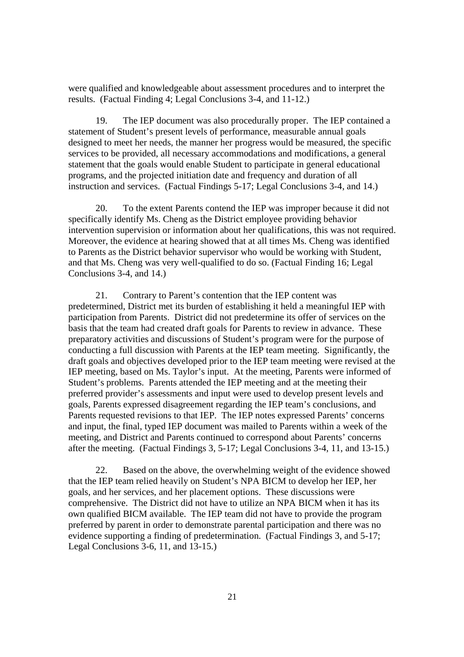were qualified and knowledgeable about assessment procedures and to interpret the results. (Factual Finding 4; Legal Conclusions 3-4, and 11-12.)

19. The IEP document was also procedurally proper. The IEP contained a statement of Student's present levels of performance, measurable annual goals designed to meet her needs, the manner her progress would be measured, the specific services to be provided, all necessary accommodations and modifications, a general statement that the goals would enable Student to participate in general educational programs, and the projected initiation date and frequency and duration of all instruction and services. (Factual Findings 5-17; Legal Conclusions 3-4, and 14.)

20. To the extent Parents contend the IEP was improper because it did not specifically identify Ms. Cheng as the District employee providing behavior intervention supervision or information about her qualifications, this was not required. Moreover, the evidence at hearing showed that at all times Ms. Cheng was identified to Parents as the District behavior supervisor who would be working with Student, and that Ms. Cheng was very well-qualified to do so. (Factual Finding 16; Legal Conclusions 3-4, and 14.)

21. Contrary to Parent's contention that the IEP content was predetermined, District met its burden of establishing it held a meaningful IEP with participation from Parents. District did not predetermine its offer of services on the basis that the team had created draft goals for Parents to review in advance. These preparatory activities and discussions of Student's program were for the purpose of conducting a full discussion with Parents at the IEP team meeting. Significantly, the draft goals and objectives developed prior to the IEP team meeting were revised at the IEP meeting, based on Ms. Taylor's input. At the meeting, Parents were informed of Student's problems. Parents attended the IEP meeting and at the meeting their preferred provider's assessments and input were used to develop present levels and goals, Parents expressed disagreement regarding the IEP team's conclusions, and Parents requested revisions to that IEP. The IEP notes expressed Parents' concerns and input, the final, typed IEP document was mailed to Parents within a week of the meeting, and District and Parents continued to correspond about Parents' concerns after the meeting. (Factual Findings 3, 5-17; Legal Conclusions 3-4, 11, and 13-15.)

22. Based on the above, the overwhelming weight of the evidence showed that the IEP team relied heavily on Student's NPA BICM to develop her IEP, her goals, and her services, and her placement options. These discussions were comprehensive. The District did not have to utilize an NPA BICM when it has its own qualified BICM available. The IEP team did not have to provide the program preferred by parent in order to demonstrate parental participation and there was no evidence supporting a finding of predetermination. (Factual Findings 3, and 5-17; Legal Conclusions 3-6, 11, and 13-15.)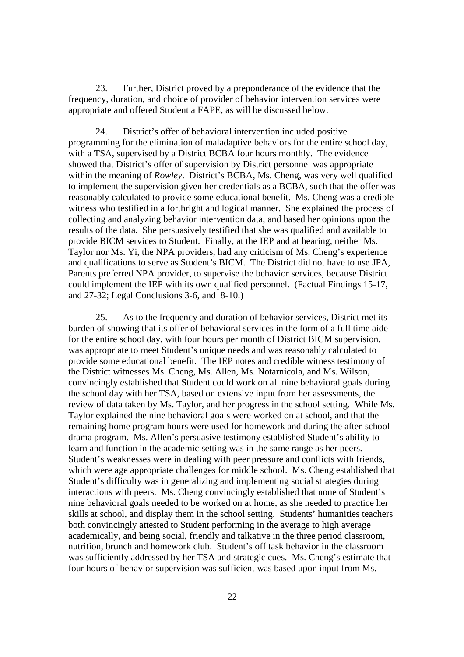23. Further, District proved by a preponderance of the evidence that the frequency, duration, and choice of provider of behavior intervention services were appropriate and offered Student a FAPE, as will be discussed below.

24. District's offer of behavioral intervention included positive programming for the elimination of maladaptive behaviors for the entire school day, with a TSA, supervised by a District BCBA four hours monthly. The evidence showed that District's offer of supervision by District personnel was appropriate within the meaning of *Rowley*. District's BCBA, Ms. Cheng, was very well qualified to implement the supervision given her credentials as a BCBA, such that the offer was reasonably calculated to provide some educational benefit. Ms. Cheng was a credible witness who testified in a forthright and logical manner. She explained the process of collecting and analyzing behavior intervention data, and based her opinions upon the results of the data. She persuasively testified that she was qualified and available to provide BICM services to Student. Finally, at the IEP and at hearing, neither Ms. Taylor nor Ms. Yi, the NPA providers, had any criticism of Ms. Cheng's experience and qualifications to serve as Student's BICM. The District did not have to use JPA, Parents preferred NPA provider, to supervise the behavior services, because District could implement the IEP with its own qualified personnel. (Factual Findings 15-17, and 27-32; Legal Conclusions 3-6, and 8-10.)

25. As to the frequency and duration of behavior services, District met its burden of showing that its offer of behavioral services in the form of a full time aide for the entire school day, with four hours per month of District BICM supervision, was appropriate to meet Student's unique needs and was reasonably calculated to provide some educational benefit. The IEP notes and credible witness testimony of the District witnesses Ms. Cheng, Ms. Allen, Ms. Notarnicola, and Ms. Wilson, convincingly established that Student could work on all nine behavioral goals during the school day with her TSA, based on extensive input from her assessments, the review of data taken by Ms. Taylor, and her progress in the school setting. While Ms. Taylor explained the nine behavioral goals were worked on at school, and that the remaining home program hours were used for homework and during the after-school drama program. Ms. Allen's persuasive testimony established Student's ability to learn and function in the academic setting was in the same range as her peers. Student's weaknesses were in dealing with peer pressure and conflicts with friends, which were age appropriate challenges for middle school. Ms. Cheng established that Student's difficulty was in generalizing and implementing social strategies during interactions with peers. Ms. Cheng convincingly established that none of Student's nine behavioral goals needed to be worked on at home, as she needed to practice her skills at school, and display them in the school setting. Students' humanities teachers both convincingly attested to Student performing in the average to high average academically, and being social, friendly and talkative in the three period classroom, nutrition, brunch and homework club. Student's off task behavior in the classroom was sufficiently addressed by her TSA and strategic cues. Ms. Cheng's estimate that four hours of behavior supervision was sufficient was based upon input from Ms.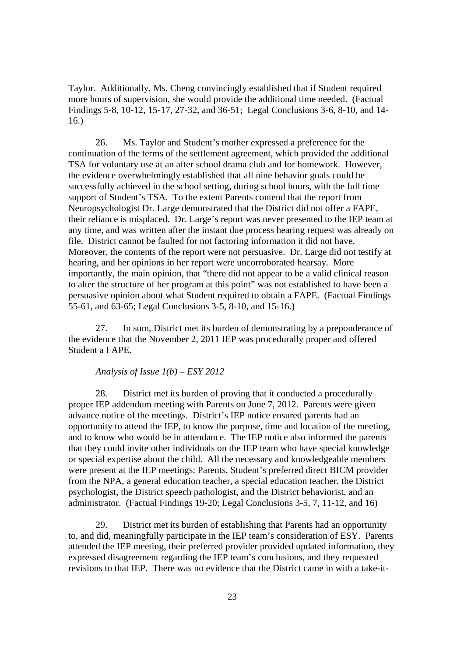Taylor. Additionally, Ms. Cheng convincingly established that if Student required more hours of supervision, she would provide the additional time needed. (Factual Findings 5-8, 10-12, 15-17, 27-32, and 36-51; Legal Conclusions 3-6, 8-10, and 14- 16.)

26. Ms. Taylor and Student's mother expressed a preference for the continuation of the terms of the settlement agreement, which provided the additional TSA for voluntary use at an after school drama club and for homework. However, the evidence overwhelmingly established that all nine behavior goals could be successfully achieved in the school setting, during school hours, with the full time support of Student's TSA. To the extent Parents contend that the report from Neuropsychologist Dr. Large demonstrated that the District did not offer a FAPE, their reliance is misplaced. Dr. Large's report was never presented to the IEP team at any time, and was written after the instant due process hearing request was already on file. District cannot be faulted for not factoring information it did not have. Moreover, the contents of the report were not persuasive. Dr. Large did not testify at hearing, and her opinions in her report were uncorroborated hearsay. More importantly, the main opinion, that "there did not appear to be a valid clinical reason to alter the structure of her program at this point" was not established to have been a persuasive opinion about what Student required to obtain a FAPE. (Factual Findings 55-61, and 63-65; Legal Conclusions 3-5, 8-10, and 15-16.)

27. In sum, District met its burden of demonstrating by a preponderance of the evidence that the November 2, 2011 IEP was procedurally proper and offered Student a FAPE.

# *Analysis of Issue 1(b) – ESY 2012*

28. District met its burden of proving that it conducted a procedurally proper IEP addendum meeting with Parents on June 7, 2012. Parents were given advance notice of the meetings. District's IEP notice ensured parents had an opportunity to attend the IEP, to know the purpose, time and location of the meeting, and to know who would be in attendance. The IEP notice also informed the parents that they could invite other individuals on the IEP team who have special knowledge or special expertise about the child. All the necessary and knowledgeable members were present at the IEP meetings: Parents, Student's preferred direct BICM provider from the NPA, a general education teacher, a special education teacher, the District psychologist, the District speech pathologist, and the District behaviorist, and an administrator. (Factual Findings 19-20; Legal Conclusions 3-5, 7, 11-12, and 16)

29. District met its burden of establishing that Parents had an opportunity to, and did, meaningfully participate in the IEP team's consideration of ESY. Parents attended the IEP meeting, their preferred provider provided updated information, they expressed disagreement regarding the IEP team's conclusions, and they requested revisions to that IEP. There was no evidence that the District came in with a take-it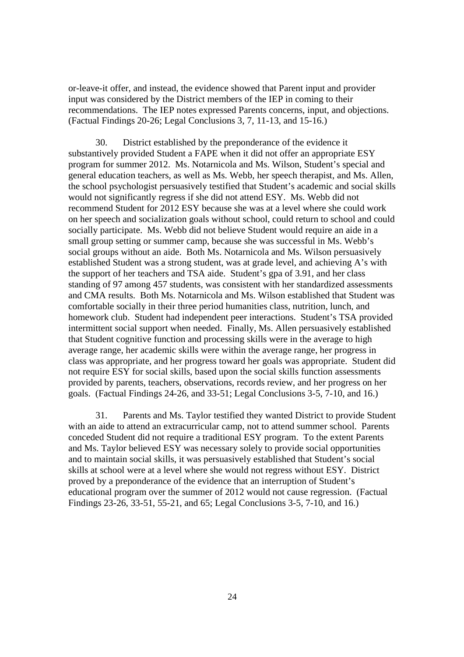or-leave-it offer, and instead, the evidence showed that Parent input and provider input was considered by the District members of the IEP in coming to their recommendations. The IEP notes expressed Parents concerns, input, and objections. (Factual Findings 20-26; Legal Conclusions 3, 7, 11-13, and 15-16.)

30. District established by the preponderance of the evidence it substantively provided Student a FAPE when it did not offer an appropriate ESY program for summer 2012. Ms. Notarnicola and Ms. Wilson, Student's special and general education teachers, as well as Ms. Webb, her speech therapist, and Ms. Allen, the school psychologist persuasively testified that Student's academic and social skills would not significantly regress if she did not attend ESY. Ms. Webb did not recommend Student for 2012 ESY because she was at a level where she could work on her speech and socialization goals without school, could return to school and could socially participate. Ms. Webb did not believe Student would require an aide in a small group setting or summer camp, because she was successful in Ms. Webb's social groups without an aide. Both Ms. Notarnicola and Ms. Wilson persuasively established Student was a strong student, was at grade level, and achieving A's with the support of her teachers and TSA aide. Student's gpa of 3.91, and her class standing of 97 among 457 students, was consistent with her standardized assessments and CMA results. Both Ms. Notarnicola and Ms. Wilson established that Student was comfortable socially in their three period humanities class, nutrition, lunch, and homework club. Student had independent peer interactions. Student's TSA provided intermittent social support when needed. Finally, Ms. Allen persuasively established that Student cognitive function and processing skills were in the average to high average range, her academic skills were within the average range, her progress in class was appropriate, and her progress toward her goals was appropriate. Student did not require ESY for social skills, based upon the social skills function assessments provided by parents, teachers, observations, records review, and her progress on her goals. (Factual Findings 24-26, and 33-51; Legal Conclusions 3-5, 7-10, and 16.)

31. Parents and Ms. Taylor testified they wanted District to provide Student with an aide to attend an extracurricular camp, not to attend summer school. Parents conceded Student did not require a traditional ESY program. To the extent Parents and Ms. Taylor believed ESY was necessary solely to provide social opportunities and to maintain social skills, it was persuasively established that Student's social skills at school were at a level where she would not regress without ESY. District proved by a preponderance of the evidence that an interruption of Student's educational program over the summer of 2012 would not cause regression. (Factual Findings 23-26, 33-51, 55-21, and 65; Legal Conclusions 3-5, 7-10, and 16.)